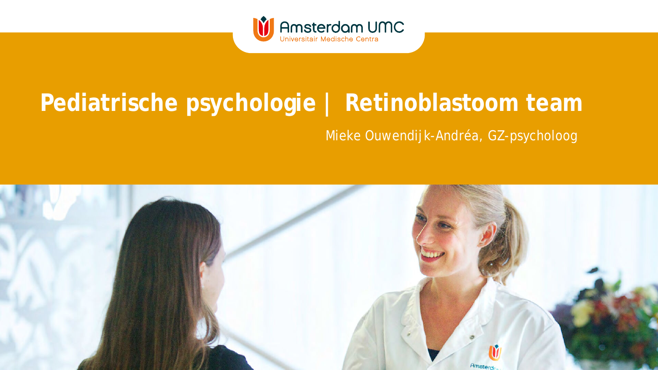

### **Pediatrische psychologie | Retinoblastoom team**

### Mieke Ouwendijk-Andréa, GZ-psycholoog

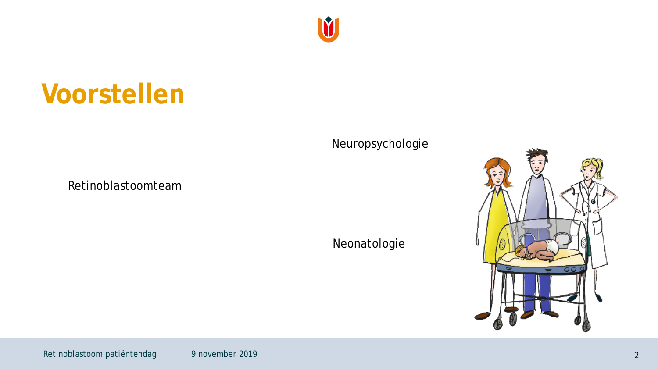### Neuropsychologie

Neonatologie

Retinoblastoomteam

## **Voorstellen**



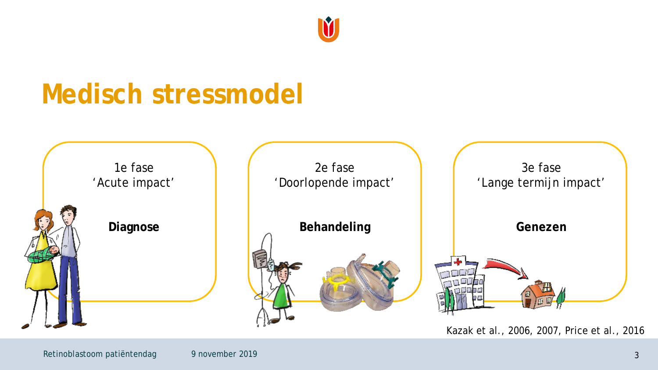

## **Medisch stressmodel**

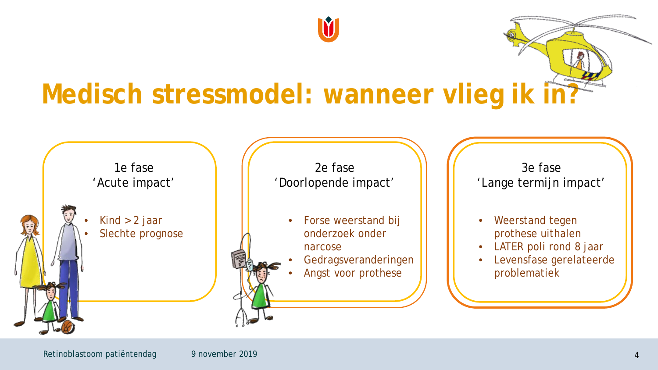# **Medisch stressmodel: wanneer vlieg ik in?**

IV

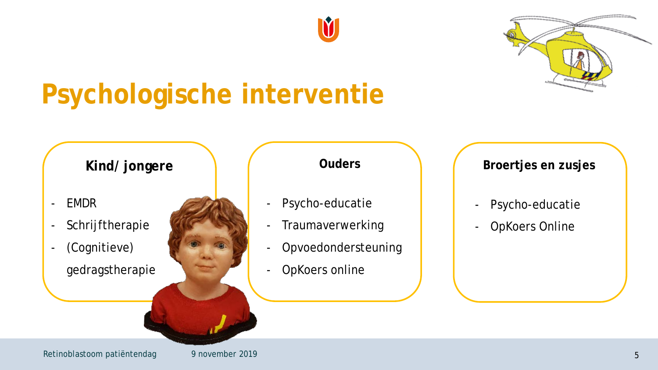



# **Psychologische interventie**

- EMDR
- Schrijftherapie
- (Cognitieve) gedragstherapie

- Psycho-educatie
- Traumaverwerking
- Opvoedondersteuning
- OpKoers online

### **Kind/jongere absolute 1 and 1 and 1 and 1 and 1 and 1 and 1 and 1 and 1 and 1 and 1 and 1 and 1 and 1 and 1 and 1 and 1 and 1 and 1 and 1 and 1 and 1 and 1 and 1 and 1 and 1 and 1 and 1 and 1 and 1 and 1 and 1 and 1 and**

- Psycho-educatie
- OpKoers Online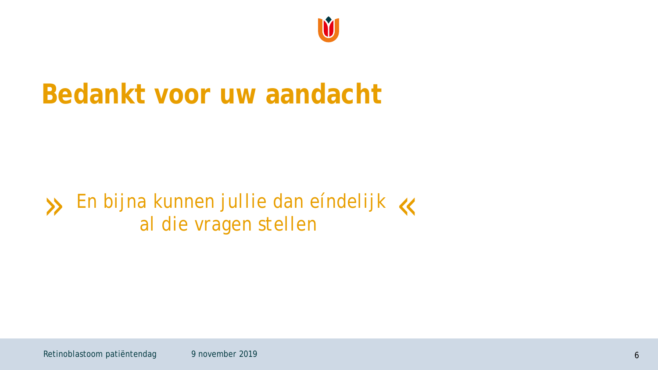

## **Bedankt voor uw aandacht**

### *En bijna kunnen jullie dan eíndelijk* **y** En bijna kunnen jullie dan eindelijk K